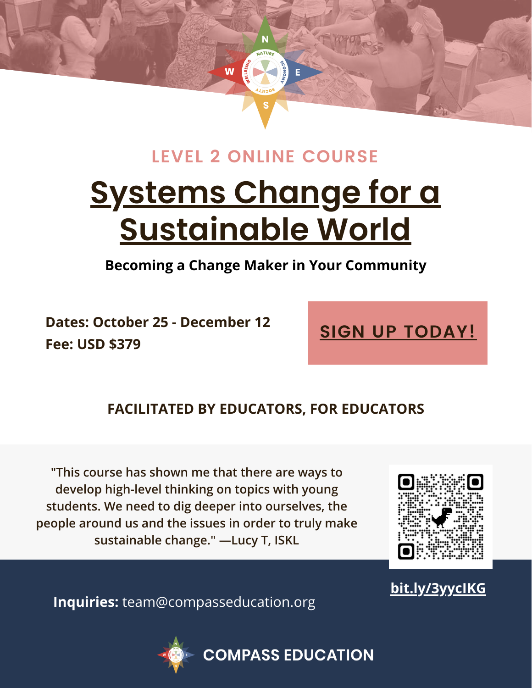

# **Systems Change for a [Sustainable](https://compasseducation.org/compass-education-level-2-online-course/) World LEVEL 2 ONLINE COURSE**

**Becoming a Change Maker in Your Community**

**Dates: October 25 - December 12 Fee: USD \$379**

# **SIGN UP [TODAY!](https://compasseducation.org/compass-education-level-1-online-course/)**

# **FACILITATED BY EDUCATORS, FOR EDUCATORS**

**"This course has shown me that there are ways to develop high-level thinking on topics with young students. We need to dig deeper into ourselves, the people around us and the issues in order to truly make sustainable change." —Lucy T, ISKL**



# **[bit.ly/3yycIKG](https://compasseducation.org/compass-education-level-2-online-course/)**

**Inquiries:** team@compasseducation.org